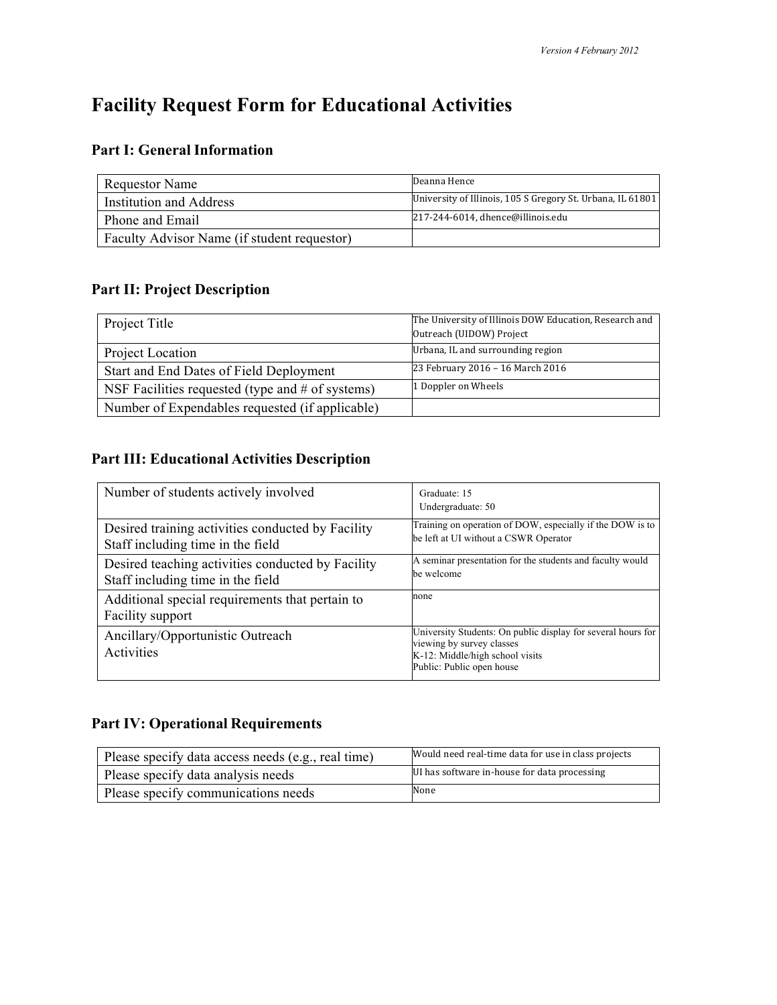# **Facility Request Form for Educational Activities**

## **Part I: General Information**

| <b>Requestor Name</b>                       | Deanna Hence                                               |
|---------------------------------------------|------------------------------------------------------------|
| Institution and Address                     | University of Illinois, 105 S Gregory St. Urbana, IL 61801 |
| Phone and Email                             | 217-244-6014, dhence@illinois.edu                          |
| Faculty Advisor Name (if student requestor) |                                                            |

## **Part II: Project Description**

| Project Title                                      | The University of Illinois DOW Education, Research and<br>Outreach (UIDOW) Project |
|----------------------------------------------------|------------------------------------------------------------------------------------|
| Project Location                                   | Urbana, IL and surrounding region                                                  |
| Start and End Dates of Field Deployment            | 23 February 2016 - 16 March 2016                                                   |
| NSF Facilities requested (type and $#$ of systems) | 1 Doppler on Wheels                                                                |
| Number of Expendables requested (if applicable)    |                                                                                    |

## **Part III: Educational Activities Description**

| Number of students actively involved                                                   | Graduate: 15<br>Undergraduate: 50                                                                                                                         |
|----------------------------------------------------------------------------------------|-----------------------------------------------------------------------------------------------------------------------------------------------------------|
| Desired training activities conducted by Facility<br>Staff including time in the field | Training on operation of DOW, especially if the DOW is to<br>be left at UI without a CSWR Operator                                                        |
| Desired teaching activities conducted by Facility<br>Staff including time in the field | A seminar presentation for the students and faculty would<br>be welcome                                                                                   |
| Additional special requirements that pertain to<br><b>Facility support</b>             | none                                                                                                                                                      |
| Ancillary/Opportunistic Outreach<br>Activities                                         | University Students: On public display for several hours for<br>viewing by survey classes<br>K-12: Middle/high school visits<br>Public: Public open house |

## **Part IV: Operational Requirements**

| Please specify data access needs (e.g., real time) | Would need real-time data for use in class projects |
|----------------------------------------------------|-----------------------------------------------------|
| Please specify data analysis needs                 | UI has software in-house for data processing        |
| Please specify communications needs                | None                                                |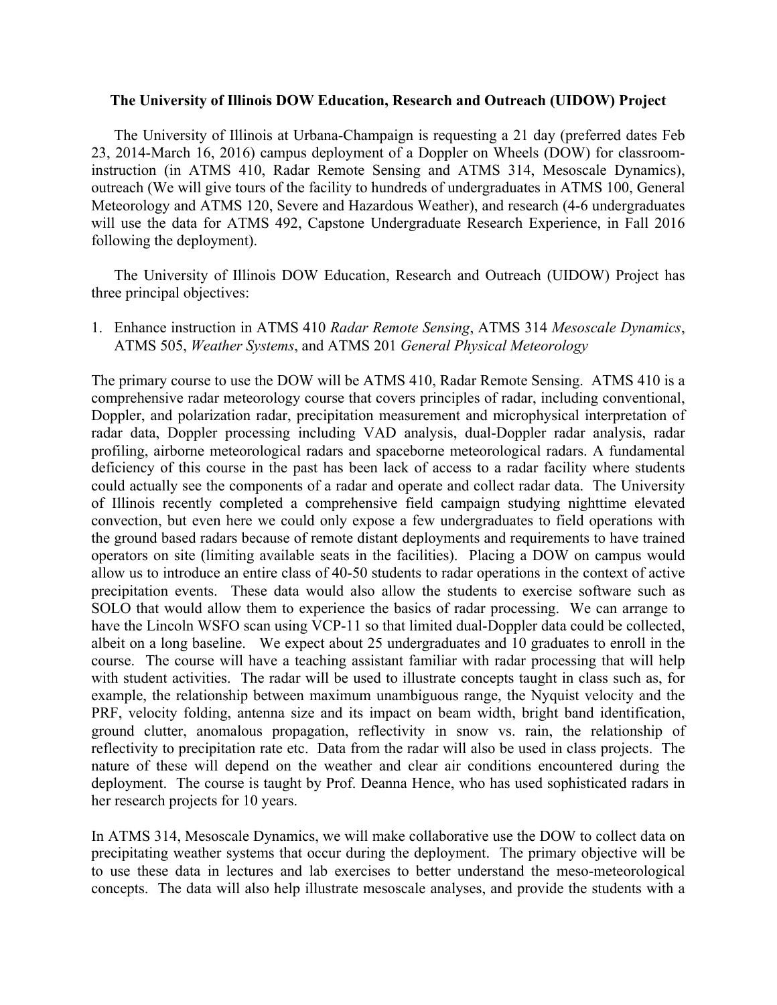#### **The University of Illinois DOW Education, Research and Outreach (UIDOW) Project**

The University of Illinois at Urbana-Champaign is requesting a 21 day (preferred dates Feb 23, 2014-March 16, 2016) campus deployment of a Doppler on Wheels (DOW) for classroominstruction (in ATMS 410, Radar Remote Sensing and ATMS 314, Mesoscale Dynamics), outreach (We will give tours of the facility to hundreds of undergraduates in ATMS 100, General Meteorology and ATMS 120, Severe and Hazardous Weather), and research (4-6 undergraduates will use the data for ATMS 492, Capstone Undergraduate Research Experience, in Fall 2016 following the deployment).

The University of Illinois DOW Education, Research and Outreach (UIDOW) Project has three principal objectives:

1. Enhance instruction in ATMS 410 *Radar Remote Sensing*, ATMS 314 *Mesoscale Dynamics*, ATMS 505, *Weather Systems*, and ATMS 201 *General Physical Meteorology*

The primary course to use the DOW will be ATMS 410, Radar Remote Sensing. ATMS 410 is a comprehensive radar meteorology course that covers principles of radar, including conventional, Doppler, and polarization radar, precipitation measurement and microphysical interpretation of radar data, Doppler processing including VAD analysis, dual-Doppler radar analysis, radar profiling, airborne meteorological radars and spaceborne meteorological radars. A fundamental deficiency of this course in the past has been lack of access to a radar facility where students could actually see the components of a radar and operate and collect radar data. The University of Illinois recently completed a comprehensive field campaign studying nighttime elevated convection, but even here we could only expose a few undergraduates to field operations with the ground based radars because of remote distant deployments and requirements to have trained operators on site (limiting available seats in the facilities). Placing a DOW on campus would allow us to introduce an entire class of 40-50 students to radar operations in the context of active precipitation events. These data would also allow the students to exercise software such as SOLO that would allow them to experience the basics of radar processing. We can arrange to have the Lincoln WSFO scan using VCP-11 so that limited dual-Doppler data could be collected, albeit on a long baseline. We expect about 25 undergraduates and 10 graduates to enroll in the course. The course will have a teaching assistant familiar with radar processing that will help with student activities. The radar will be used to illustrate concepts taught in class such as, for example, the relationship between maximum unambiguous range, the Nyquist velocity and the PRF, velocity folding, antenna size and its impact on beam width, bright band identification, ground clutter, anomalous propagation, reflectivity in snow vs. rain, the relationship of reflectivity to precipitation rate etc. Data from the radar will also be used in class projects. The nature of these will depend on the weather and clear air conditions encountered during the deployment. The course is taught by Prof. Deanna Hence, who has used sophisticated radars in her research projects for 10 years.

In ATMS 314, Mesoscale Dynamics, we will make collaborative use the DOW to collect data on precipitating weather systems that occur during the deployment. The primary objective will be to use these data in lectures and lab exercises to better understand the meso-meteorological concepts. The data will also help illustrate mesoscale analyses, and provide the students with a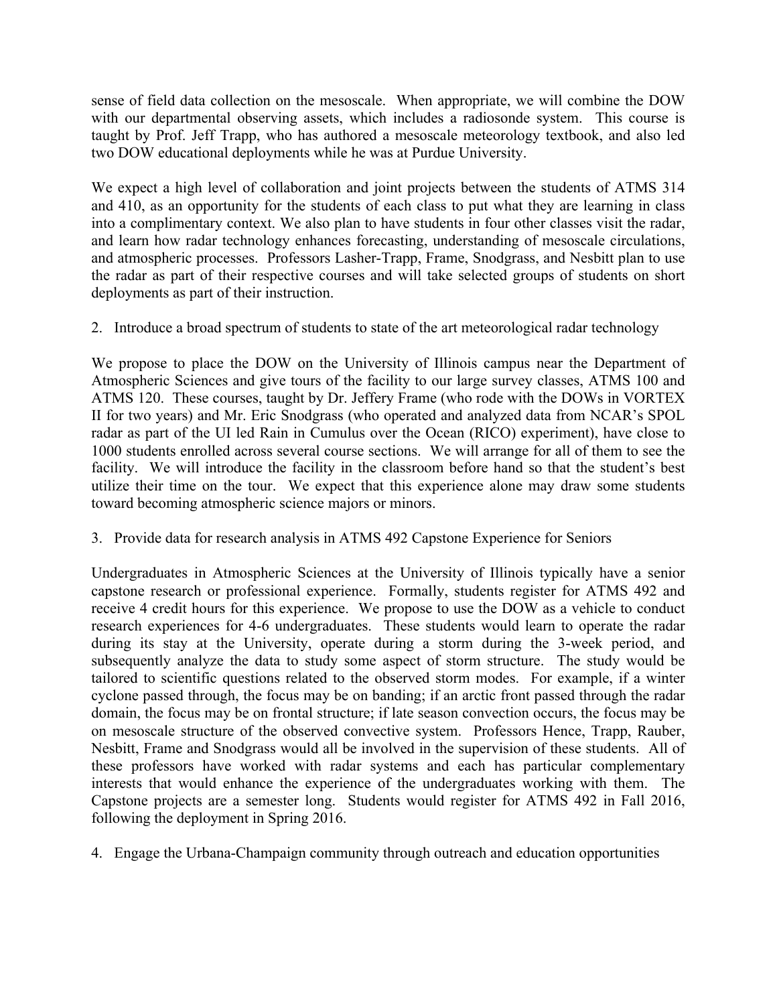sense of field data collection on the mesoscale. When appropriate, we will combine the DOW with our departmental observing assets, which includes a radiosonde system. This course is taught by Prof. Jeff Trapp, who has authored a mesoscale meteorology textbook, and also led two DOW educational deployments while he was at Purdue University.

We expect a high level of collaboration and joint projects between the students of ATMS 314 and 410, as an opportunity for the students of each class to put what they are learning in class into a complimentary context. We also plan to have students in four other classes visit the radar, and learn how radar technology enhances forecasting, understanding of mesoscale circulations, and atmospheric processes. Professors Lasher-Trapp, Frame, Snodgrass, and Nesbitt plan to use the radar as part of their respective courses and will take selected groups of students on short deployments as part of their instruction.

2. Introduce a broad spectrum of students to state of the art meteorological radar technology

We propose to place the DOW on the University of Illinois campus near the Department of Atmospheric Sciences and give tours of the facility to our large survey classes, ATMS 100 and ATMS 120. These courses, taught by Dr. Jeffery Frame (who rode with the DOWs in VORTEX II for two years) and Mr. Eric Snodgrass (who operated and analyzed data from NCAR's SPOL radar as part of the UI led Rain in Cumulus over the Ocean (RICO) experiment), have close to 1000 students enrolled across several course sections. We will arrange for all of them to see the facility. We will introduce the facility in the classroom before hand so that the student's best utilize their time on the tour. We expect that this experience alone may draw some students toward becoming atmospheric science majors or minors.

3. Provide data for research analysis in ATMS 492 Capstone Experience for Seniors

Undergraduates in Atmospheric Sciences at the University of Illinois typically have a senior capstone research or professional experience. Formally, students register for ATMS 492 and receive 4 credit hours for this experience. We propose to use the DOW as a vehicle to conduct research experiences for 4-6 undergraduates. These students would learn to operate the radar during its stay at the University, operate during a storm during the 3-week period, and subsequently analyze the data to study some aspect of storm structure. The study would be tailored to scientific questions related to the observed storm modes. For example, if a winter cyclone passed through, the focus may be on banding; if an arctic front passed through the radar domain, the focus may be on frontal structure; if late season convection occurs, the focus may be on mesoscale structure of the observed convective system. Professors Hence, Trapp, Rauber, Nesbitt, Frame and Snodgrass would all be involved in the supervision of these students. All of these professors have worked with radar systems and each has particular complementary interests that would enhance the experience of the undergraduates working with them. The Capstone projects are a semester long. Students would register for ATMS 492 in Fall 2016, following the deployment in Spring 2016.

4. Engage the Urbana-Champaign community through outreach and education opportunities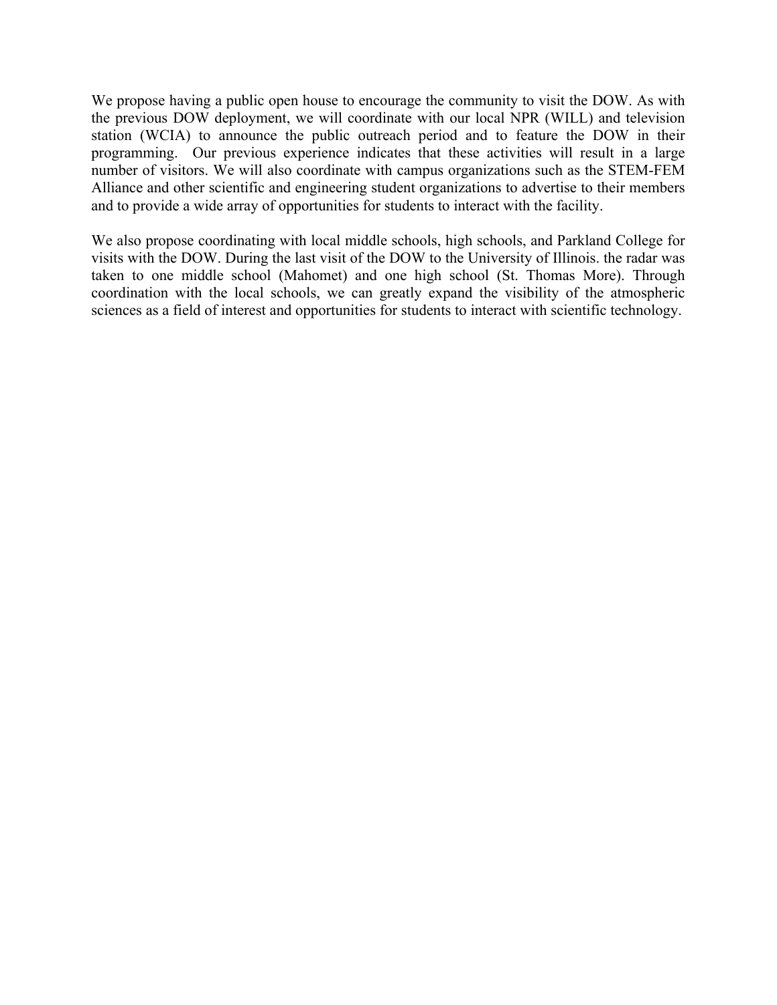We propose having a public open house to encourage the community to visit the DOW. As with the previous DOW deployment, we will coordinate with our local NPR (WILL) and television station (WCIA) to announce the public outreach period and to feature the DOW in their programming. Our previous experience indicates that these activities will result in a large number of visitors. We will also coordinate with campus organizations such as the STEM-FEM Alliance and other scientific and engineering student organizations to advertise to their members and to provide a wide array of opportunities for students to interact with the facility.

We also propose coordinating with local middle schools, high schools, and Parkland College for visits with the DOW. During the last visit of the DOW to the University of Illinois. the radar was taken to one middle school (Mahomet) and one high school (St. Thomas More). Through coordination with the local schools, we can greatly expand the visibility of the atmospheric sciences as a field of interest and opportunities for students to interact with scientific technology.